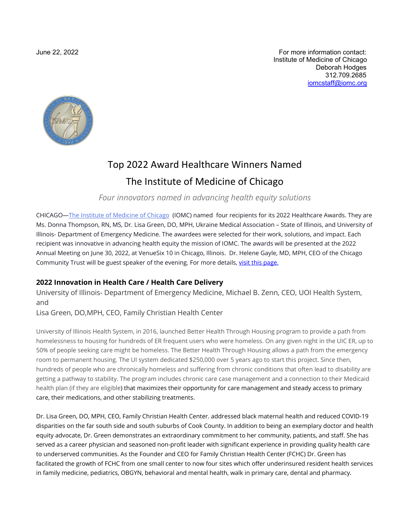June 22, 2022 For more information contact: Institute of Medicine of Chicago Deborah Hodges 312.709.2685 [iomcstaff@iomc.org](mailto:iomcstaff@iomc.org)



# Top 2022 Award Healthcare Winners Named The Institute of Medicine of Chicago

*Four innovators named in advancing health equity solutions*

CHICAGO[—The Institute of Medicine of Chicago](http://www.iomc.org/) (IOMC) named four recipients for its 2022 Healthcare Awards. They are Ms. Donna Thompson, RN, MS, Dr. Lisa Green, DO, MPH, Ukraine Medical Association – State of Illinois, and University of Illinois- Department of Emergency Medicine. The awardees were selected for their work, solutions, and impact. Each recipient was innovative in advancing health equity the mission of IOMC. The awards will be presented at the 2022 Annual Meeting on June 30, 2022, at VenueSix 10 in Chicago, Illinois. Dr. Helene Gayle, MD, MPH, CEO of the Chicago Community Trust will be guest speaker of the evening. For more details, [visit this page.](https://iomc.org/page-18172) 

### **2022 Innovation in Health Care / Health Care Delivery**

University of Illinois- Department of Emergency Medicine, Michael B. Zenn, CEO, UOI Health System, and

Lisa Green, DO,MPH, CEO, Family Christian Health Center

University of Illinois Health System, in 2016, launched Better Health Through Housing program to provide a path from homelessness to housing for hundreds of ER frequent users who were homeless. On any given night in the UIC ER, up to 50% of people seeking care might be homeless. The Better Health Through Housing allows a path from the emergency room to permanent housing. The UI system dedicated \$250,000 over 5 years ago to start this project. Since then, hundreds of people who are chronically homeless and suffering from chronic conditions that often lead to disability are getting a pathway to stability. The program includes chronic care case management and a connection to their Medicaid health plan (if they are eligible) that maximizes their opportunity for care management and steady access to primary care, their medications, and other stabilizing treatments.

Dr. Lisa Green, DO, MPH, CEO, Family Christian Health Center. addressed black maternal health and reduced COVID-19 disparities on the far south side and south suburbs of Cook County. In addition to being an exemplary doctor and health equity advocate, Dr. Green demonstrates an extraordinary commitment to her community, patients, and staff. She has served as a career physician and seasoned non-profit leader with significant experience in providing quality health care to underserved communities. As the Founder and CEO for Family Christian Health Center (FCHC) Dr. Green has facilitated the growth of FCHC from one small center to now four sites which offer underinsured resident health services in family medicine, pediatrics, OBGYN, behavioral and mental health, walk in primary care, dental and pharmacy.